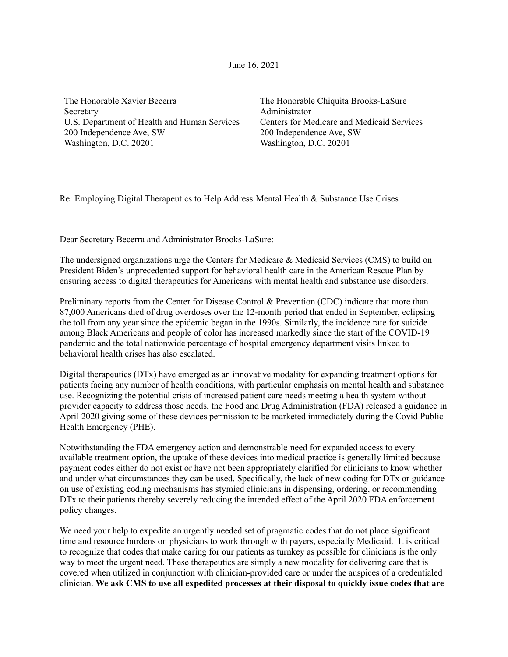June 16, 2021

The Honorable Xavier Becerra **Secretary** U.S. Department of Health and Human Services 200 Independence Ave, SW Washington, D.C. 20201

The Honorable Chiquita Brooks-LaSure Administrator Centers for Medicare and Medicaid Services 200 Independence Ave, SW Washington, D.C. 20201

Re: Employing Digital Therapeutics to Help Address Mental Health & Substance Use Crises

Dear Secretary Becerra and Administrator Brooks-LaSure:

The undersigned organizations urge the Centers for Medicare & Medicaid Services (CMS) to build on President Biden's unprecedented support for behavioral health care in the American Rescue Plan by ensuring access to digital therapeutics for Americans with mental health and substance use disorders.

Preliminary reports from the Center for Disease Control & Prevention (CDC) indicate that more than 87,000 Americans died of drug overdoses over the 12-month period that ended in September, eclipsing the toll from any year since the epidemic began in the 1990s. Similarly, the incidence rate for suicide among Black Americans and people of color has increased markedly since the start of the COVID-19 pandemic and the total nationwide percentage of hospital emergency department visits linked to behavioral health crises has also escalated.

Digital therapeutics (DTx) have emerged as an innovative modality for expanding treatment options for patients facing any number of health conditions, with particular emphasis on mental health and substance use. Recognizing the potential crisis of increased patient care needs meeting a health system without provider capacity to address those needs, the Food and Drug Administration (FDA) released a guidance in April 2020 giving some of these devices permission to be marketed immediately during the Covid Public Health Emergency (PHE).

Notwithstanding the FDA emergency action and demonstrable need for expanded access to every available treatment option, the uptake of these devices into medical practice is generally limited because payment codes either do not exist or have not been appropriately clarified for clinicians to know whether and under what circumstances they can be used. Specifically, the lack of new coding for DTx or guidance on use of existing coding mechanisms has stymied clinicians in dispensing, ordering, or recommending DTx to their patients thereby severely reducing the intended effect of the April 2020 FDA enforcement policy changes.

We need your help to expedite an urgently needed set of pragmatic codes that do not place significant time and resource burdens on physicians to work through with payers, especially Medicaid. It is critical to recognize that codes that make caring for our patients as turnkey as possible for clinicians is the only way to meet the urgent need. These therapeutics are simply a new modality for delivering care that is covered when utilized in conjunction with clinician-provided care or under the auspices of a credentialed clinician. **We ask CMS to use all expedited processes at their disposal to quickly issue codes that are**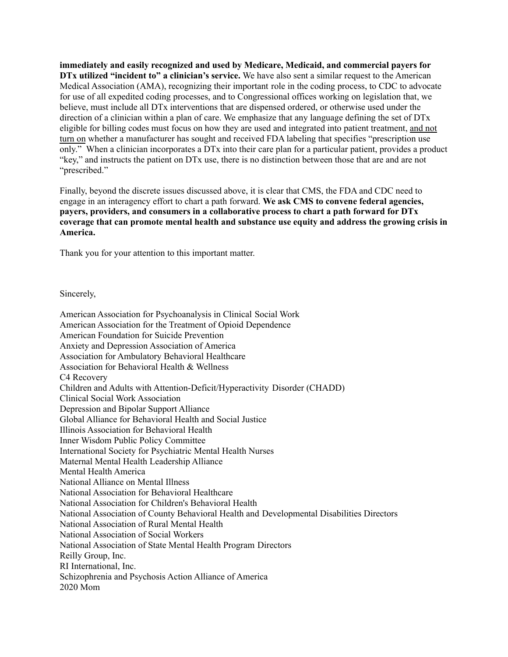**immediately and easily recognized and used by Medicare, Medicaid, and commercial payers for DTx utilized "incident to" a clinician's service.** We have also sent a similar request to the American Medical Association (AMA), recognizing their important role in the coding process, to CDC to advocate for use of all expedited coding processes, and to Congressional offices working on legislation that, we believe, must include all DTx interventions that are dispensed ordered, or otherwise used under the direction of a clinician within a plan of care. We emphasize that any language defining the set of DTx eligible for billing codes must focus on how they are used and integrated into patient treatment, and not turn on whether a manufacturer has sought and received FDA labeling that specifies "prescription use only." When a clinician incorporates a DTx into their care plan for a particular patient, provides a product "key," and instructs the patient on DTx use, there is no distinction between those that are and are not "prescribed."

Finally, beyond the discrete issues discussed above, it is clear that CMS, the FDA and CDC need to engage in an interagency effort to chart a path forward. **We ask CMS to convene federal agencies, payers, providers, and consumers in a collaborative process to chart a path forward for DTx coverage that can promote mental health and substance use equity and address the growing crisis in America.**

Thank you for your attention to this important matter.

Sincerely,

American Association for Psychoanalysis in Clinical Social Work American Association for the Treatment of Opioid Dependence American Foundation for Suicide Prevention Anxiety and Depression Association of America Association for Ambulatory Behavioral Healthcare Association for Behavioral Health & Wellness C4 Recovery Children and Adults with Attention-Deficit/Hyperactivity Disorder (CHADD) Clinical Social Work Association Depression and Bipolar Support Alliance Global Alliance for Behavioral Health and Social Justice Illinois Association for Behavioral Health Inner Wisdom Public Policy Committee International Society for Psychiatric Mental Health Nurses Maternal Mental Health Leadership Alliance Mental Health America National Alliance on Mental Illness National Association for Behavioral Healthcare National Association for Children's Behavioral Health National Association of County Behavioral Health and Developmental Disabilities Directors National Association of Rural Mental Health National Association of Social Workers National Association of State Mental Health Program Directors Reilly Group, Inc. RI International, Inc. Schizophrenia and Psychosis Action Alliance of America 2020 Mom